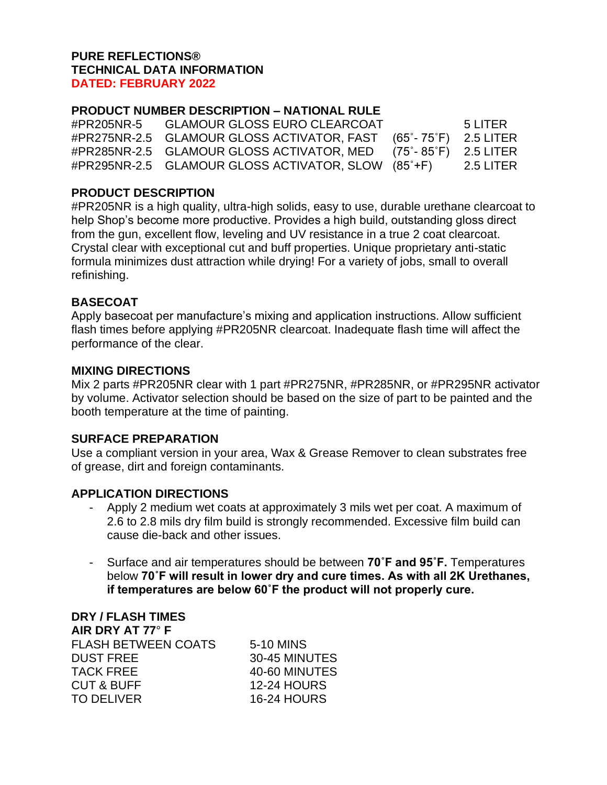## **PURE REFLECTIONS® TECHNICAL DATA INFORMATION DATED: FEBRUARY 2022**

# **PRODUCT NUMBER DESCRIPTION – NATIONAL RULE**

#PR205NR-5 GLAMOUR GLOSS EURO CLEARCOAT 5 LITER #PR275NR-2.5 GLAMOUR GLOSS ACTIVATOR, FAST (65˚- 75˚F) 2.5 LITER #PR285NR-2.5 GLAMOUR GLOSS ACTIVATOR, MED (75˚- 85˚F) 2.5 LITER #PR295NR-2.5 GLAMOUR GLOSS ACTIVATOR, SLOW (85˚+F) 2.5 LITER

## **PRODUCT DESCRIPTION**

#PR205NR is a high quality, ultra-high solids, easy to use, durable urethane clearcoat to help Shop's become more productive. Provides a high build, outstanding gloss direct from the gun, excellent flow, leveling and UV resistance in a true 2 coat clearcoat. Crystal clear with exceptional cut and buff properties. Unique proprietary anti-static formula minimizes dust attraction while drying! For a variety of jobs, small to overall refinishing.

## **BASECOAT**

Apply basecoat per manufacture's mixing and application instructions. Allow sufficient flash times before applying #PR205NR clearcoat. Inadequate flash time will affect the performance of the clear.

## **MIXING DIRECTIONS**

Mix 2 parts #PR205NR clear with 1 part #PR275NR, #PR285NR, or #PR295NR activator by volume. Activator selection should be based on the size of part to be painted and the booth temperature at the time of painting.

## **SURFACE PREPARATION**

Use a compliant version in your area, Wax & Grease Remover to clean substrates free of grease, dirt and foreign contaminants.

## **APPLICATION DIRECTIONS**

- Apply 2 medium wet coats at approximately 3 mils wet per coat. A maximum of 2.6 to 2.8 mils dry film build is strongly recommended. Excessive film build can cause die-back and other issues.
- Surface and air temperatures should be between **70˚F and 95˚F.** Temperatures below **70˚F will result in lower dry and cure times. As with all 2K Urethanes, if temperatures are below 60˚F the product will not properly cure.**

| <b>DRY / FLASH TIMES</b>   |                    |
|----------------------------|--------------------|
| AIR DRY AT 77° F           |                    |
| <b>FLASH BETWEEN COATS</b> | 5-10 MINS          |
| <b>DUST FREE</b>           | 30-45 MINUTES      |
| <b>TACK FREE</b>           | 40-60 MINUTES      |
| <b>CUT &amp; BUFF</b>      | <b>12-24 HOURS</b> |
| <b>TO DELIVER</b>          | <b>16-24 HOURS</b> |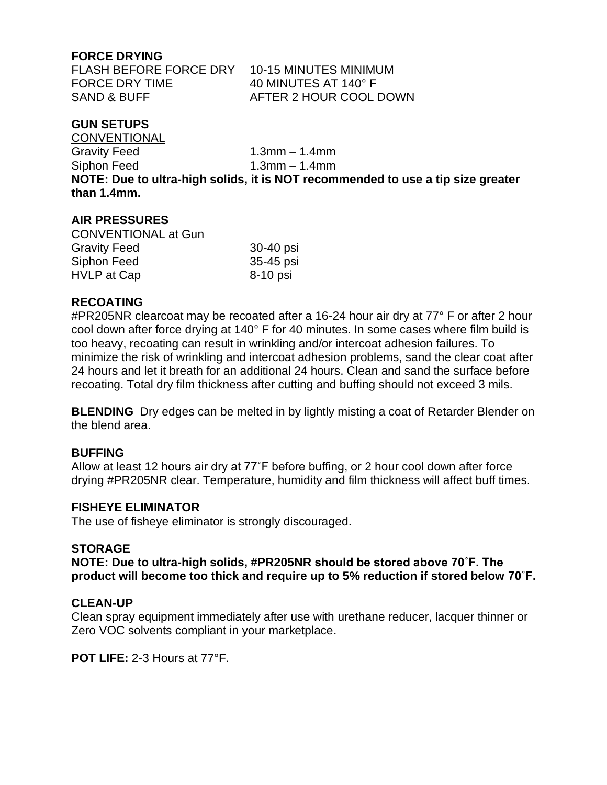## **FORCE DRYING**

FLASH BEFORE FORCE DRY 10-15 MINUTES MINIMUM FORCE DRY TIME 40 MINUTES AT 140° F

SAND & BUFF AFTER 2 HOUR COOL DOWN

## **GUN SETUPS**

**CONVENTIONAL** Gravity Feed 1.3mm – 1.4mm Siphon Feed 1.3mm – 1.4mm **NOTE: Due to ultra-high solids, it is NOT recommended to use a tip size greater than 1.4mm.** 

### **AIR PRESSURES**

| <b>CONVENTIONAL at Gun</b> |           |
|----------------------------|-----------|
| <b>Gravity Feed</b>        | 30-40 psi |
| Siphon Feed                | 35-45 psi |
| HVLP at Cap                | 8-10 psi  |

### **RECOATING**

#PR205NR clearcoat may be recoated after a 16-24 hour air dry at 77° F or after 2 hour cool down after force drying at 140° F for 40 minutes. In some cases where film build is too heavy, recoating can result in wrinkling and/or intercoat adhesion failures. To minimize the risk of wrinkling and intercoat adhesion problems, sand the clear coat after 24 hours and let it breath for an additional 24 hours. Clean and sand the surface before recoating. Total dry film thickness after cutting and buffing should not exceed 3 mils.

**BLENDING** Dry edges can be melted in by lightly misting a coat of Retarder Blender on the blend area.

### **BUFFING**

Allow at least 12 hours air dry at 77˚F before buffing, or 2 hour cool down after force drying #PR205NR clear. Temperature, humidity and film thickness will affect buff times.

### **FISHEYE ELIMINATOR**

The use of fisheye eliminator is strongly discouraged.

#### **STORAGE**

**NOTE: Due to ultra-high solids, #PR205NR should be stored above 70˚F. The product will become too thick and require up to 5% reduction if stored below 70˚F.**

#### **CLEAN-UP**

Clean spray equipment immediately after use with urethane reducer, lacquer thinner or Zero VOC solvents compliant in your marketplace.

**POT LIFE:** 2-3 Hours at 77°F.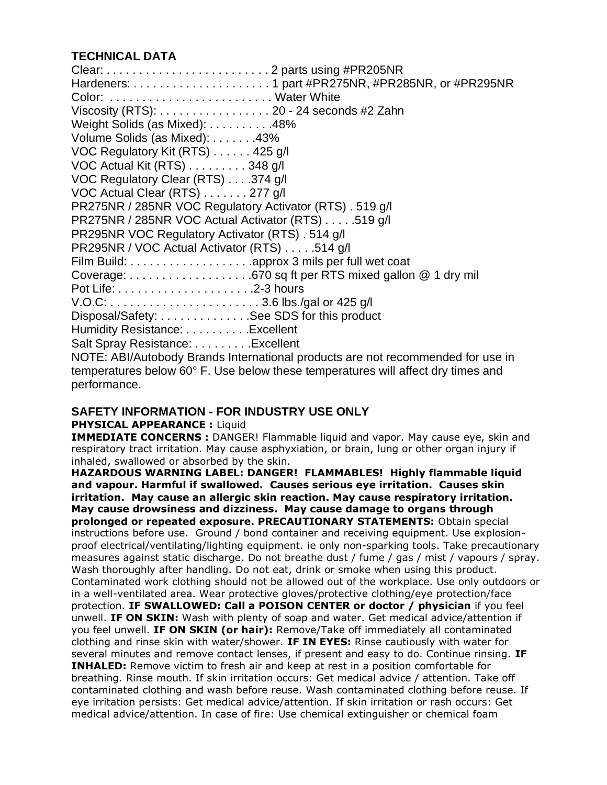# **TECHNICAL DATA**

Clear: . . . . . . . . . . . . . . . . . . . . . . . . . 2 parts using #PR205NR Hardeners: . . . . . . . . . . . . . . . . . . . . . 1 part #PR275NR, #PR285NR, or #PR295NR Color: . . . . . . . . . . . . . . . . . . . . . . . . . Water White Viscosity (RTS): . . . . . . . . . . . . . . . . . 20 - 24 seconds #2 Zahn Weight Solids (as Mixed): . . . . . . . . . . 48% Volume Solids (as Mixed): . . . . . . .43% VOC Regulatory Kit (RTS) . . . . . . 425 g/l VOC Actual Kit (RTS) . . . . . . . . . 348 g/l VOC Regulatory Clear (RTS) . . . .374 g/l VOC Actual Clear (RTS) . . . . . . . 277 g/l PR275NR / 285NR VOC Regulatory Activator (RTS) . 519 g/l PR275NR / 285NR VOC Actual Activator (RTS) . . . . .519 g/l PR295NR VOC Regulatory Activator (RTS) . 514 g/l PR295NR / VOC Actual Activator (RTS) . . . . .514 g/l Film Build: . . . . . . . . . . . . . . . . . . .approx 3 mils per full wet coat Coverage: . . . . . . . . . . . . . . . . . . .670 sq ft per RTS mixed gallon @ 1 dry mil Pot Life: . . . . . . . . . . . . . . . . . . . . .2-3 hours V.O.C: . . . . . . . . . . . . . . . . . . . . . . . 3.6 lbs./gal or 425 g/l Disposal/Safety: . . . . . . . . . . . . . . See SDS for this product Humidity Resistance: . . . . . . . . . . Excellent Salt Spray Resistance: . . . . . . . . . Excellent NOTE: ABI/Autobody Brands International products are not recommended for use in temperatures below 60° F. Use below these temperatures will affect dry times and performance.

## **SAFETY INFORMATION - FOR INDUSTRY USE ONLY**

### **PHYSICAL APPEARANCE :** Liquid

**IMMEDIATE CONCERNS :** DANGER! Flammable liquid and vapor. May cause eye, skin and respiratory tract irritation. May cause asphyxiation, or brain, lung or other organ injury if inhaled, swallowed or absorbed by the skin.

**HAZARDOUS WARNING LABEL: DANGER! FLAMMABLES! Highly flammable liquid and vapour. Harmful if swallowed. Causes serious eye irritation. Causes skin irritation. May cause an allergic skin reaction. May cause respiratory irritation. May cause drowsiness and dizziness. May cause damage to organs through prolonged or repeated exposure. PRECAUTIONARY STATEMENTS:** Obtain special instructions before use. Ground / bond container and receiving equipment. Use explosionproof electrical/ventilating/lighting equipment. ie only non-sparking tools. Take precautionary measures against static discharge. Do not breathe dust / fume / gas / mist / vapours / spray. Wash thoroughly after handling. Do not eat, drink or smoke when using this product. Contaminated work clothing should not be allowed out of the workplace. Use only outdoors or in a well-ventilated area. Wear protective gloves/protective clothing/eye protection/face protection. **IF SWALLOWED: Call a POISON CENTER or doctor / physician** if you feel unwell. **IF ON SKIN:** Wash with plenty of soap and water. Get medical advice/attention if you feel unwell. **IF ON SKIN (or hair):** Remove/Take off immediately all contaminated clothing and rinse skin with water/shower. **IF IN EYES:** Rinse cautiously with water for several minutes and remove contact lenses, if present and easy to do. Continue rinsing. **IF INHALED:** Remove victim to fresh air and keep at rest in a position comfortable for breathing. Rinse mouth. If skin irritation occurs: Get medical advice / attention. Take off contaminated clothing and wash before reuse. Wash contaminated clothing before reuse. If eye irritation persists: Get medical advice/attention. If skin irritation or rash occurs: Get medical advice/attention. In case of fire: Use chemical extinguisher or chemical foam